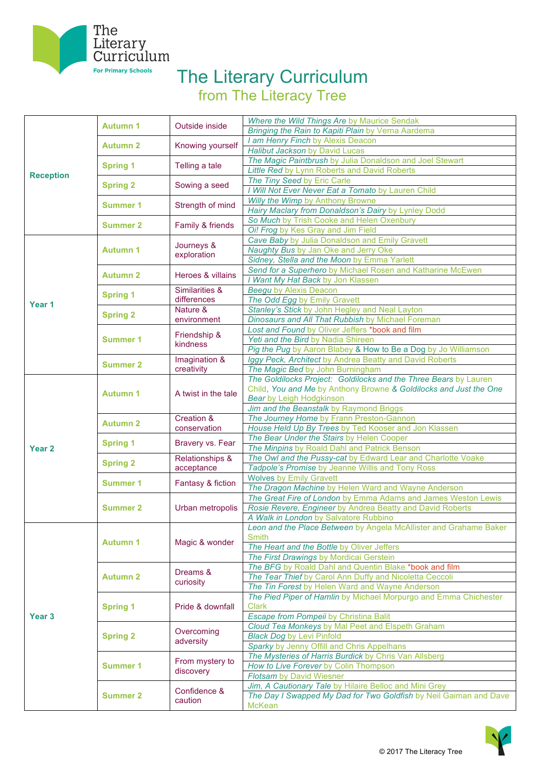

## The Literary Curriculum

from The Literacy Tree

|                   | <b>Autumn 1</b> | Outside inside            | Where the Wild Things Are by Maurice Sendak                                        |
|-------------------|-----------------|---------------------------|------------------------------------------------------------------------------------|
|                   |                 |                           | Bringing the Rain to Kapiti Plain by Verna Aardema                                 |
|                   | <b>Autumn 2</b> | Knowing yourself          | I am Henry Finch by Alexis Deacon                                                  |
|                   |                 |                           | Halibut Jackson by David Lucas                                                     |
|                   |                 | Telling a tale            | The Magic Paintbrush by Julia Donaldson and Joel Stewart                           |
|                   | <b>Spring 1</b> |                           | Little Red by Lynn Roberts and David Roberts                                       |
| <b>Reception</b>  | <b>Spring 2</b> | Sowing a seed             | The Tiny Seed by Eric Carle                                                        |
|                   |                 |                           | Will Not Ever Never Eat a Tomato by Lauren Child                                   |
|                   | Summer 1        | Strength of mind          | Willy the Wimp by Anthony Browne                                                   |
|                   |                 |                           | Hairy Maclary from Donaldson's Dairy by Lynley Dodd                                |
|                   | <b>Summer 2</b> | Family & friends          | So Much by Trish Cooke and Helen Oxenbury                                          |
|                   |                 |                           | Oi! Frog by Kes Gray and Jim Field                                                 |
|                   | <b>Autumn 1</b> | Journeys &<br>exploration | Cave Baby by Julia Donaldson and Emily Gravett                                     |
|                   |                 |                           | Naughty Bus by Jan Oke and Jerry Oke                                               |
|                   |                 |                           | Sidney, Stella and the Moon by Emma Yarlett                                        |
|                   | <b>Autumn 2</b> |                           | Send for a Superhero by Michael Rosen and Katharine McEwen                         |
|                   |                 | Heroes & villains         | I Want My Hat Back by Jon Klassen                                                  |
|                   | <b>Spring 1</b> | Similarities &            | <b>Beegu by Alexis Deacon</b>                                                      |
|                   |                 | differences               | The Odd Egg by Emily Gravett                                                       |
| Year 1            |                 | Nature &                  | Stanley's Stick by John Hegley and Neal Layton                                     |
|                   | <b>Spring 2</b> | environment               | Dinosaurs and All That Rubbish by Michael Foreman                                  |
|                   |                 |                           | Lost and Found by Oliver Jeffers *book and film                                    |
|                   |                 | Friendship &<br>kindness  | Yeti and the Bird by Nadia Shireen                                                 |
|                   | Summer 1        |                           |                                                                                    |
|                   |                 |                           | Pig the Pug by Aaron Blabey & How to Be a Dog by Jo Williamson                     |
|                   | <b>Summer 2</b> | Imagination &             | Iggy Peck, Architect by Andrea Beatty and David Roberts                            |
|                   |                 | creativity                | The Magic Bed by John Burningham                                                   |
|                   |                 |                           | The Goldilocks Project: Goldilocks and the Three Bears by Lauren                   |
|                   | <b>Autumn 1</b> | A twist in the tale       | Child, You and Me by Anthony Browne & Goldilocks and Just the One                  |
|                   |                 |                           | <b>Bear by Leigh Hodgkinson</b>                                                    |
|                   |                 |                           | Jim and the Beanstalk by Raymond Briggs                                            |
|                   | <b>Autumn 2</b> | Creation &                | The Journey Home by Frann Preston-Gannon                                           |
|                   |                 |                           |                                                                                    |
|                   |                 | conservation              | House Held Up By Trees by Ted Kooser and Jon Klassen                               |
|                   |                 |                           | The Bear Under the Stairs by Helen Cooper                                          |
| Year <sub>2</sub> | <b>Spring 1</b> | Bravery vs. Fear          | The Minpins by Roald Dahl and Patrick Benson                                       |
|                   |                 | Relationships &           | The Owl and the Pussy-cat by Edward Lear and Charlotte Voake                       |
|                   | <b>Spring 2</b> | acceptance                | Tadpole's Promise by Jeanne Willis and Tony Ross                                   |
|                   |                 |                           | <b>Wolves by Emily Gravett</b>                                                     |
|                   | <b>Summer 1</b> | Fantasy & fiction         | The Dragon Machine by Helen Ward and Wayne Anderson                                |
|                   |                 |                           | The Great Fire of London by Emma Adams and James Weston Lewis                      |
|                   | <b>Summer 2</b> | Urban metropolis          | Rosie Revere, Engineer by Andrea Beatty and David Roberts                          |
|                   |                 |                           | A Walk in London by Salvatore Rubbino                                              |
|                   |                 |                           | Leon and the Place Between by Angela McAllister and Grahame Baker                  |
|                   |                 |                           | <b>Smith</b>                                                                       |
|                   | <b>Autumn 1</b> | Magic & wonder            | The Heart and the Bottle by Oliver Jeffers                                         |
|                   |                 |                           | The First Drawings by Mordicai Gerstein                                            |
|                   |                 |                           |                                                                                    |
|                   | <b>Autumn 2</b> | Dreams &                  | The BFG by Roald Dahl and Quentin Blake *book and film                             |
|                   |                 | curiosity                 | The Tear Thief by Carol Ann Duffy and Nicoletta Ceccoli                            |
|                   |                 |                           | The Tin Forest by Helen Ward and Wayne Anderson                                    |
|                   |                 | Pride & downfall          | The Pied Piper of Hamlin by Michael Morpurgo and Emma Chichester<br><b>Clark</b>   |
|                   | <b>Spring 1</b> |                           |                                                                                    |
| Year <sub>3</sub> |                 |                           | Escape from Pompeii by Christina Balit                                             |
|                   |                 | Overcoming                | Cloud Tea Monkeys by Mal Peet and Elspeth Graham                                   |
|                   | <b>Spring 2</b> | adversity                 | <b>Black Dog by Levi Pinfold</b>                                                   |
|                   |                 |                           | Sparky by Jenny Offill and Chris Appelhans                                         |
|                   |                 | From mystery to           | The Mysteries of Harris Burdick by Chris Van Allsberg                              |
|                   | Summer 1        | discovery                 | How to Live Forever by Colin Thompson                                              |
|                   |                 |                           | <b>Flotsam by David Wiesner</b>                                                    |
|                   |                 | Confidence &              | Jim, A Cautionary Tale by Hilaire Belloc and Mini Grey                             |
|                   | <b>Summer 2</b> | caution                   | The Day I Swapped My Dad for Two Goldfish by Neil Gaiman and Dave<br><b>McKean</b> |